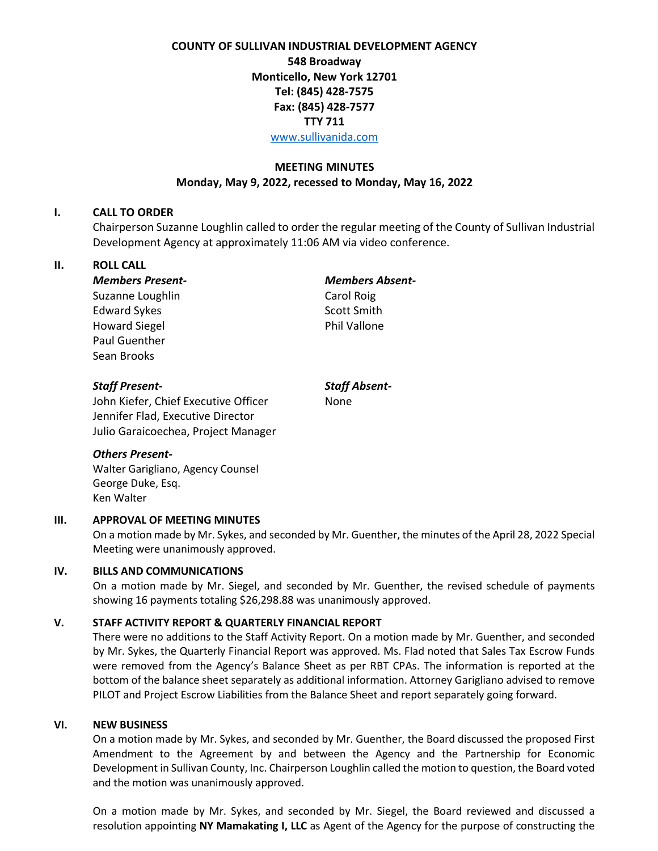# **COUNTY OF SULLIVAN INDUSTRIAL DEVELOPMENT AGENCY 548 Broadway Monticello, New York 12701 Tel: (845) 428-7575 Fax: (845) 428-7577 TTY 711** [www.sullivanida.com](http://www.sullivanida.com/)

## **MEETING MINUTES Monday, May 9, 2022, recessed to Monday, May 16, 2022**

#### **I. CALL TO ORDER**

Chairperson Suzanne Loughlin called to order the regular meeting of the County of Sullivan Industrial Development Agency at approximately 11:06 AM via video conference.

## **II. ROLL CALL**

*Members Present- Members Absent-*Suzanne Loughlin Carol Roig Edward Sykes Scott Smith Howard Siegel **Phil Vallone** Paul Guenther Sean Brooks

## *Staff Present- Staff Absent-*

John Kiefer, Chief Executive Officer None Jennifer Flad, Executive Director Julio Garaicoechea, Project Manager

# *Others Present-*

Walter Garigliano, Agency Counsel George Duke, Esq. Ken Walter

## **III. APPROVAL OF MEETING MINUTES**

On a motion made by Mr. Sykes, and seconded by Mr. Guenther, the minutes of the April 28, 2022 Special Meeting were unanimously approved.

## **IV. BILLS AND COMMUNICATIONS**

On a motion made by Mr. Siegel, and seconded by Mr. Guenther, the revised schedule of payments showing 16 payments totaling \$26,298.88 was unanimously approved.

## **V. STAFF ACTIVITY REPORT & QUARTERLY FINANCIAL REPORT**

There were no additions to the Staff Activity Report. On a motion made by Mr. Guenther, and seconded by Mr. Sykes, the Quarterly Financial Report was approved. Ms. Flad noted that Sales Tax Escrow Funds were removed from the Agency's Balance Sheet as per RBT CPAs. The information is reported at the bottom of the balance sheet separately as additional information. Attorney Garigliano advised to remove PILOT and Project Escrow Liabilities from the Balance Sheet and report separately going forward.

#### **VI. NEW BUSINESS**

On a motion made by Mr. Sykes, and seconded by Mr. Guenther, the Board discussed the proposed First Amendment to the Agreement by and between the Agency and the Partnership for Economic Development in Sullivan County, Inc. Chairperson Loughlin called the motion to question, the Board voted and the motion was unanimously approved.

On a motion made by Mr. Sykes, and seconded by Mr. Siegel, the Board reviewed and discussed a resolution appointing **NY Mamakating I, LLC** as Agent of the Agency for the purpose of constructing the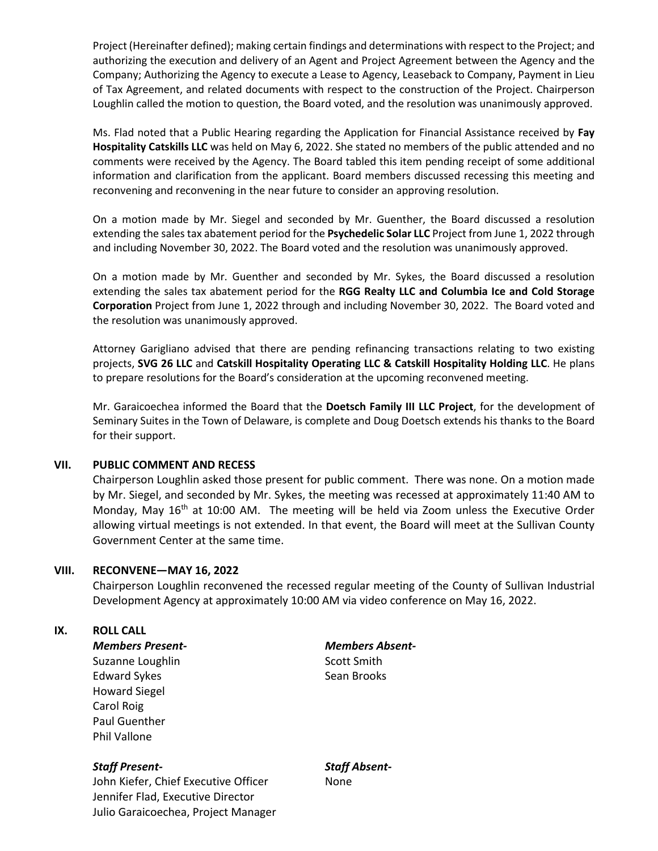Project (Hereinafter defined); making certain findings and determinations with respect to the Project; and authorizing the execution and delivery of an Agent and Project Agreement between the Agency and the Company; Authorizing the Agency to execute a Lease to Agency, Leaseback to Company, Payment in Lieu of Tax Agreement, and related documents with respect to the construction of the Project. Chairperson Loughlin called the motion to question, the Board voted, and the resolution was unanimously approved.

Ms. Flad noted that a Public Hearing regarding the Application for Financial Assistance received by **Fay Hospitality Catskills LLC** was held on May 6, 2022. She stated no members of the public attended and no comments were received by the Agency. The Board tabled this item pending receipt of some additional information and clarification from the applicant. Board members discussed recessing this meeting and reconvening and reconvening in the near future to consider an approving resolution.

On a motion made by Mr. Siegel and seconded by Mr. Guenther, the Board discussed a resolution extending the sales tax abatement period for the **Psychedelic Solar LLC** Project from June 1, 2022 through and including November 30, 2022. The Board voted and the resolution was unanimously approved.

On a motion made by Mr. Guenther and seconded by Mr. Sykes, the Board discussed a resolution extending the sales tax abatement period for the **RGG Realty LLC and Columbia Ice and Cold Storage Corporation** Project from June 1, 2022 through and including November 30, 2022. The Board voted and the resolution was unanimously approved.

Attorney Garigliano advised that there are pending refinancing transactions relating to two existing projects, **SVG 26 LLC** and **Catskill Hospitality Operating LLC & Catskill Hospitality Holding LLC**. He plans to prepare resolutions for the Board's consideration at the upcoming reconvened meeting.

Mr. Garaicoechea informed the Board that the **Doetsch Family III LLC Project**, for the development of Seminary Suites in the Town of Delaware, is complete and Doug Doetsch extends his thanks to the Board for their support.

#### **VII. PUBLIC COMMENT AND RECESS**

Chairperson Loughlin asked those present for public comment. There was none. On a motion made by Mr. Siegel, and seconded by Mr. Sykes, the meeting was recessed at approximately 11:40 AM to Monday, May 16<sup>th</sup> at 10:00 AM. The meeting will be held via Zoom unless the Executive Order allowing virtual meetings is not extended. In that event, the Board will meet at the Sullivan County Government Center at the same time.

#### **VIII. RECONVENE—MAY 16, 2022**

Chairperson Loughlin reconvened the recessed regular meeting of the County of Sullivan Industrial Development Agency at approximately 10:00 AM via video conference on May 16, 2022.

#### **IX. ROLL CALL**

*Members Present- Members Absent-*Suzanne Loughlin Suzanne Loughlin Edward Sykes Sean Brooks Howard Siegel Carol Roig Paul Guenther Phil Vallone

#### *Staff Present- Staff Absent-*

John Kiefer, Chief Executive Officer None Jennifer Flad, Executive Director Julio Garaicoechea, Project Manager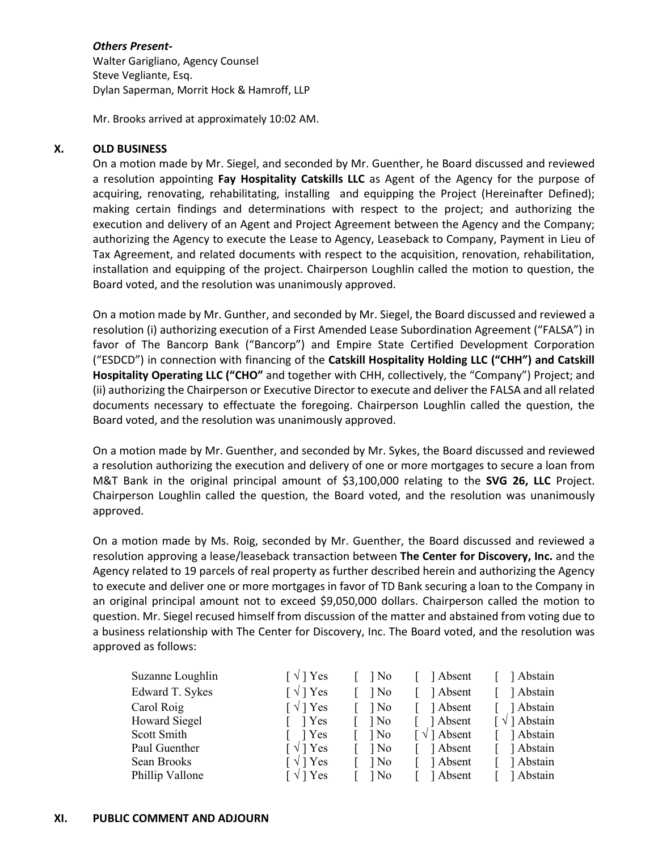### *Others Present-*

Walter Garigliano, Agency Counsel Steve Vegliante, Esq. Dylan Saperman, Morrit Hock & Hamroff, LLP

Mr. Brooks arrived at approximately 10:02 AM.

## **X. OLD BUSINESS**

On a motion made by Mr. Siegel, and seconded by Mr. Guenther, he Board discussed and reviewed a resolution appointing **Fay Hospitality Catskills LLC** as Agent of the Agency for the purpose of acquiring, renovating, rehabilitating, installing and equipping the Project (Hereinafter Defined); making certain findings and determinations with respect to the project; and authorizing the execution and delivery of an Agent and Project Agreement between the Agency and the Company; authorizing the Agency to execute the Lease to Agency, Leaseback to Company, Payment in Lieu of Tax Agreement, and related documents with respect to the acquisition, renovation, rehabilitation, installation and equipping of the project. Chairperson Loughlin called the motion to question, the Board voted, and the resolution was unanimously approved.

On a motion made by Mr. Gunther, and seconded by Mr. Siegel, the Board discussed and reviewed a resolution (i) authorizing execution of a First Amended Lease Subordination Agreement ("FALSA") in favor of The Bancorp Bank ("Bancorp") and Empire State Certified Development Corporation ("ESDCD") in connection with financing of the **Catskill Hospitality Holding LLC ("CHH") and Catskill Hospitality Operating LLC ("CHO"** and together with CHH, collectively, the "Company") Project; and (ii) authorizing the Chairperson or Executive Director to execute and deliver the FALSA and all related documents necessary to effectuate the foregoing. Chairperson Loughlin called the question, the Board voted, and the resolution was unanimously approved.

On a motion made by Mr. Guenther, and seconded by Mr. Sykes, the Board discussed and reviewed a resolution authorizing the execution and delivery of one or more mortgages to secure a loan from M&T Bank in the original principal amount of \$3,100,000 relating to the **SVG 26, LLC** Project. Chairperson Loughlin called the question, the Board voted, and the resolution was unanimously approved.

On a motion made by Ms. Roig, seconded by Mr. Guenther, the Board discussed and reviewed a resolution approving a lease/leaseback transaction between **The Center for Discovery, Inc.** and the Agency related to 19 parcels of real property as further described herein and authorizing the Agency to execute and deliver one or more mortgages in favor of TD Bank securing a loan to the Company in an original principal amount not to exceed \$9,050,000 dollars. Chairperson called the motion to question. Mr. Siegel recused himself from discussion of the matter and abstained from voting due to a business relationship with The Center for Discovery, Inc. The Board voted, and the resolution was approved as follows:

| Suzanne Loughlin     | $\lceil \sqrt{ } \rceil$ Yes | ] No | Absent                           | ] Abstain                         |
|----------------------|------------------------------|------|----------------------------------|-----------------------------------|
| Edward T. Sykes      | $\lceil \sqrt{ } \rceil$ Yes | ] No | Absent                           | Abstain                           |
| Carol Roig           | $\lceil \sqrt{ } \rceil$ Yes | 1 No | 1 Absent                         | Abstain                           |
| <b>Howard Siegel</b> | 1 Yes                        | ] No | ] Absent                         | $\lceil \sqrt{\ } \rceil$ Abstain |
| Scott Smith          | 1 Yes                        | ] No | $\lceil \sqrt{\ } \rceil$ Absent | Abstain                           |
| Paul Guenther        | $\lceil \sqrt{ } \rceil$ Yes | ] No | 1 Absent                         | Abstain                           |
| Sean Brooks          | $\lceil \sqrt{ } \rceil$ Yes | ] No | 1 Absent                         | Abstain                           |
| Phillip Vallone      | ∫ √ ] Yes                    | ] No | 1 Absent                         | ] Abstain                         |